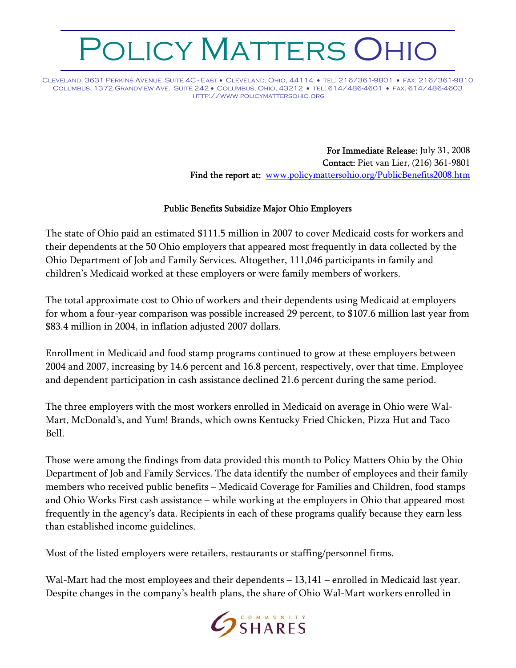## OLICY MATTERS OHIC

Cleveland: 3631 Perkins Avenue Suite 4C - East • Cleveland, Ohio, 44114 • tel: 216/361-9801 • fax: 216/361-9810 Columbus: 1372 Grandview Ave. Suite 242 • Columbus, Ohio, 43212 • tel: 614/486-4601 • fax: 614/486-4603 http://www.policymattersohio.org

> For Immediate Release: July 31, 2008 Contact: Piet van Lier, (216) 361-9801 Find the report at: www.policymattersohio.org/PublicBenefits2008.htm

## Public Benefits Subsidize Major Ohio Employers

The state of Ohio paid an estimated \$111.5 million in 2007 to cover Medicaid costs for workers and their dependents at the 50 Ohio employers that appeared most frequently in data collected by the Ohio Department of Job and Family Services. Altogether, 111,046 participants in family and children's Medicaid worked at these employers or were family members of workers.

The total approximate cost to Ohio of workers and their dependents using Medicaid at employers for whom a four-year comparison was possible increased 29 percent, to \$107.6 million last year from \$83.4 million in 2004, in inflation adjusted 2007 dollars.

Enrollment in Medicaid and food stamp programs continued to grow at these employers between 2004 and 2007, increasing by 14.6 percent and 16.8 percent, respectively, over that time. Employee and dependent participation in cash assistance declined 21.6 percent during the same period.

The three employers with the most workers enrolled in Medicaid on average in Ohio were Wal-Mart, McDonald's, and Yum! Brands, which owns Kentucky Fried Chicken, Pizza Hut and Taco Bell.

Those were among the findings from data provided this month to Policy Matters Ohio by the Ohio Department of Job and Family Services. The data identify the number of employees and their family members who received public benefits – Medicaid Coverage for Families and Children, food stamps and Ohio Works First cash assistance – while working at the employers in Ohio that appeared most frequently in the agency's data. Recipients in each of these programs qualify because they earn less than established income guidelines.

Most of the listed employers were retailers, restaurants or staffing/personnel firms.

Wal-Mart had the most employees and their dependents – 13,141 – enrolled in Medicaid last year. Despite changes in the company's health plans, the share of Ohio Wal-Mart workers enrolled in